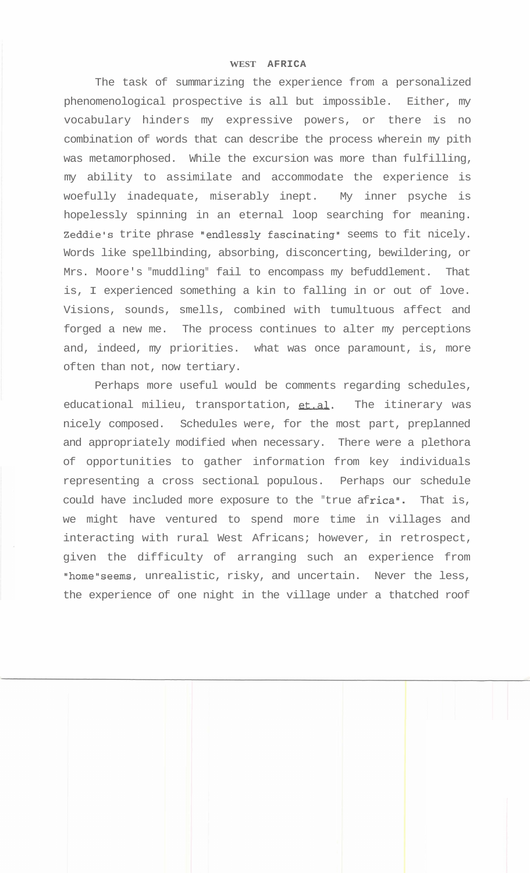## **WEST AFRICA**

The task of summarizing the experience from a personalized phenomenological prospective is all but impossible. Either, my vocabulary hinders my expressive powers, or there is no combination of words that can describe the process wherein my pith was metamorphosed. While the excursion was more than fulfilling, my ability to assimilate and accommodate the experience is woefully inadequate, miserably inept. My inner psyche is hopelessly spinning in an eternal loop searching for meaning. Zeddie's trite phrase "endlessly fascinating" seems to fit nicely. Words like spellbinding, absorbing, disconcerting, bewildering, or Mrs. Moore's "muddling" fail to encompass my befuddlement. That is, I experienced something a kin to falling in or out of love. Visions, sounds, smells, combined with tumultuous affect and forged a new me. The process continues to alter my perceptions and, indeed, my priorities. what was once paramount, is, more often than not, now tertiary.

Perhaps more useful would be comments regarding schedules, educational milieu, transportation, et.al. The itinerary was nicely composed. Schedules were, for the most part, preplanned and appropriately modified when necessary. There were a plethora of opportunities to gather information from key individuals representing a cross sectional populous. Perhaps our schedule could have included more exposure to the "true africa". That is, we might have ventured to spend more time in villages and interacting with rural West Africans; however, in retrospect, given the difficulty of arranging such an experience from "home"seems, unrealistic, risky, and uncertain. Never the less, the experience of one night in the village under a thatched roof